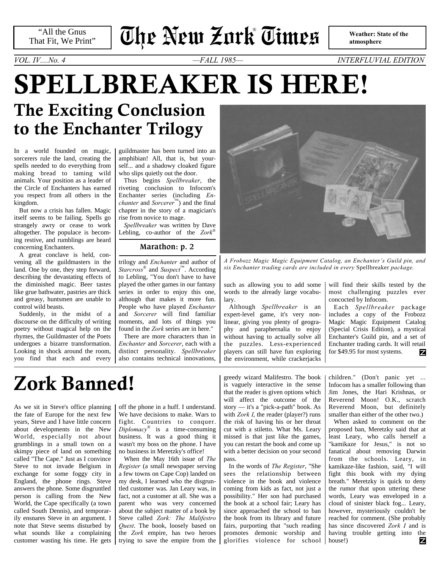"All the Gnus That Fit, We Print"

# **The New Zork Times** ®

 **Weather: State of the atmosphere**

**SPELLBREAKER IS HERE!** *VOL. IV....No. 4 —FALL 1985— INTERFLUVIAL EDITION*

## **The Exciting Conclusion to the Enchanter Trilogy**

In a world founded on magic, sorcerers rule the land, creating the spells needed to do everything from making bread to taming wild animals. Your position as a leader of the Circle of Enchanters has earned you respect from all others in the kingdom.

But now a crisis has fallen. Magic itself seems to be failing. Spells go strangely awry or cease to work altogether. The populace is becoming restive, and rumblings are heard concerning Enchanters.

A great conclave is held, convening all the guildmasters in the land. One by one, they step forward, describing the devastating effects of the diminished magic. Beer tastes like grue bathwater, pastries are thick and greasy, huntsmen are unable to control wild beasts.

Suddenly, in the midst of a discourse on the difficulty of writing poetry without magical help on the rhymes, the Guildmaster of the Poets undergoes a bizarre transformation. Looking in shock around the room, you find that each and every

guildmaster has been turned into an amphibian! All, that is, but yourself... and a shadowy cloaked figure who slips quietly out the door.

Thus begins *Spellbreaker*, the riveting conclusion to Infocom's Enchanter series (including *Enchanter* and *Sorcerer*™) and the final chapter in the story of a magician's rise from novice to mage.

*Spellbreaker* was written by Dave Lebling, co-author of the *Zork*®

### **[Marathon: p. 2](#page-1-0)**

trilogy and *Enchanter* and author of *Starcross*® and *Suspect*™. According to Lebling, "You don't have to have played the other games in our fantasy series in order to enjoy this one, although that makes it more fun. People who have played *Enchanter* and *Sorcerer* will find familiar moments, and lots of things you found in the *Zork* series are in here."

There are more characters than in *Enchanter* and *Sorcerer*, each with a distinct personality. *Spellbreaker* also contains technical innovations,



*A Frobozz Magic Magic Equipment Catalog, an Enchanter's Guild pin, and six Enchanter trading cards are included in every* Spellbreaker *package.*

such as allowing you to add some words to the already large vocabulary.

Although *Spellbreaker* is an expert-level game, it's very nonlinear, giving you plenty of geography and paraphernalia to enjoy without having to actually solve all the puzzles. Less-experienced players can still have fun exploring the environment, while crackerjacks will find their skills tested by the most challenging puzzles ever concocted by Infocom.

Each *Spellbreaker* package includes a copy of the Frobozz Magic Magic Equipment Catalog (Special Crisis Edition), a mystical Enchanter's Guild pin, and a set of Enchanter trading cards. It will retail for \$49.95 for most systems. z

## **Zork Banned!**

As we sit in Steve's office planning the fate of Europe for the next few years, Steve and I have little concern about developments in the New World, especially not about grumblings in a small town on a skimpy piece of land on something called "The Cape." Just as I convince Steve to not invade Belgium in exchange for some foggy city in England, the phone rings. Steve answers the phone. Some disgruntled person is calling from the New World, the Cape specifically (a town called South Dennis), and temporarily ensnares Steve in an argument. I note that Steve seems disturbed by what sounds like a complaining

off the phone in a huff. I understand. We have decisions to make. Wars to fight. Countries to conquer. *Diplomacy*® is a time-consuming business. It was a good thing it wasn't my boss on the phone. I have no business in Meretzky's office!

When the May 16th issue of *The Register* (a small newspaper serving a few towns on Cape Cop) landed on my desk, I learned who the disgruntled customer was. Jan Leary was, in fact, not a customer at all. She was a parent who was very concerned about the subject matter of a book by Steve called *Zork: The Malifestro Quest*. The book, loosely based on the *Zork* empire, has two heroes

greedy wizard Malifestro. The book is vaguely interactive in the sense that the reader is given options which will affect the outcome of the story — it's a "pick-a-path" book. As with *Zork I*, the reader (player?) runs the risk of having his or her throat cut with a stiletto. What Ms. Leary missed is that just like the games, you can restart the book and come up with a better decision on your second pass.

customer wasting his time. He gets trying to save the empire from the glorifies violence for school house!) In the words of *The Register*, "She sees the relationship between violence in the book and violence coming from kids as fact, not just a possibility." Her son had purchased the book at a school fair; Leary has since approached the school to ban the book from its library and future fairs, purporting that "such reading promotes demonic worship and

children." (Don't panic yet ... Infocom has a smaller following than Jim Jones, the Hari Krishnas, or Reverend Moon! O.K., scratch Reverend Moon, but definitely smaller than either of the other two.)

When asked to comment on the proposed ban, Meretzky said that at least Leary, who calls herself a "kamikaze for Jesus," is not so fanatical about removing Darwin from the schools. Leary, in kamikaze-like fashion, said, "I will fight this book with my dying breath." Meretzky is quick to deny the rumor that upon uttering these words, Leary was enveloped in a cloud of sinister black fog... Leary, however, mysteriously couldn't be reached for comment. (She probably has since discovered *Zork I* and is having trouble getting into the z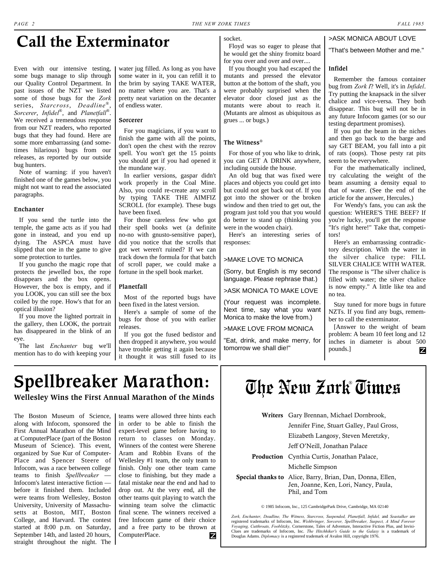## **Call the Exterminator**

Even with our intensive testing, some bugs manage to slip through our Quality Control Department. In past issues of the NZT we listed some of those bugs for the *Zork* series, *Starcross*, *Deadline*® , *Sorcerer*, *Infidel*® , and *Planetfall*® . We received a tremendous response from our NZT readers, who reported bugs that they had found. Here are some more embarrassing (and sometimes hilarious) bugs from our releases, as reported by our outside bug hunters.

Note of warning: if you haven't finished one of the games below, you might not want to read the associated paragraphs.

#### **Enchanter**

If you send the turtle into the temple, the game acts as if you had gone in instead, and you end up dying. The ASPCA must have slipped that one in the game to give some protection to turtles.

If you guncho the magic rope that protects the jewelled box, the rope disappears and the box opens. However, the box is empty, and if you LOOK, you can still see the box coiled by the rope. How's that for an optical illusion?

If you move the lighted portrait in the gallery, then LOOK, the portrait has disappeared in the blink of an eye.

The last *Enchanter* bug we'll mention has to do with keeping your

water jug filled. As long as you have some water in it, you can refill it to the brim by saying TAKE WATER, no matter where you are. That's a pretty neat variation on the decanter of endless water.

#### **Sorcerer**

For you magicians, if you want to finish the game with all the points, don't open the chest with the rezrov spell. You won't get the 15 points you should get if you had opened it the mundane way.

In earlier versions, gaspar didn't work properly in the Coal Mine. Also, you could re-create any scroll by typing TAKE THE AIMFIZ SCROLL (for example). These bugs have been fixed.

For those careless few who got their spell books wet (a definite no-no with gnusto-sensitive paper), did you notice that the scrolls that got wet weren't ruined? If we can track down the formula for that batch of scroll paper, we could make a fortune in the spell book market.

### **Planetfall**

Most of the reported bugs have been fixed in the latest version.

Here's a sample of some of the bugs for those of you with earlier releases.

If you got the fused bedistor and then dropped it anywhere, you would have trouble getting it again because it thought it was still fused to its socket. Floyd was so eager to please that

he would get the shiny fromitz board for you over and over and over....

If you thought you had escaped the mutants and pressed the elevator button at the bottom of the shaft, you were probably surprised when the elevator door closed just as the mutants were about to reach it. (Mutants are almost as ubiquitous as grues ... or bugs.)

### **The Witness**®

For those of you who like to drink, you can GET A DRINK anywhere, including outside the house.

An old bug that was fixed were places and objects you could get into but could not get back out of. If you got into the shower or the broken window and then tried to get out, the program just told you that you would do better to stand up (thinking you were in the wooden chair).

Here's an interesting series of responses:

### >MAKE LOVE TO MONICA

(Sorry, but English is my second language. Please rephrase that.)

>ASK MONICA TO MAKE LOVE

(Your request was incomplete. Next time, say what you want Monica to make the love from.)

>MAKE LOVE FROM MONICA

"Eat, drink, and make merry, for tomorrow we shall die!"

### >ASK MONICA ABOUT LOVE

"That's between Mother and me."

#### **Infidel**

Remember the famous container bug from *Zork I*? Well, it's in *Infidel*. Try putting the knapsack in the silver chalice and vice-versa. They both disappear. This bug will not be in any future Infocom games (or so our testing department promises).

If you put the beam in the niches and then go back to the barge and say GET BEAM, you fall into a pit of rats (oops). Those pesty rat pits seem to be everywhere.

For the mathematically inclined, try calculating the weight of the beam assuming a density equal to that of water. (See the end of the article for the answer, Hercules.)

For Wendy's fans, you can ask the question: WHERE'S THE BEEF? If you're lucky, you'll get the response "It's right here!" Take that, competitors!

Here's an embarrassing contradictory description. With the water in the silver chalice type: FILL SILVER CHALICE WITH WATER. The response is "The silver chalice is filled with water; the silver chalice is now empty." A little like tea and no tea.

Stay tuned for more bugs in future NZTs. If you find any bugs, remember to call the exterminator.

[Answer to the weight of beam problem: A beam 10 feet long and 12 inches in diameter is about 500 pounds.] z

### <span id="page-1-0"></span>**Spellbreaker Marathon: Wellesley Wins the First Annual Marathon of the Minds**

The Boston Museum of Science, along with Infocom, sponsored the First Annual Marathon of the Mind at ComputerPlace (part of the Boston Museum of Science). This event, organized by Sue Kur of Computer-Place and Spencer Steere of Infocom, was a race between college teams to finish *Spellbreaker* — Infocom's latest interactive fiction before it finished them. Included were teams from Wellesley, Boston University, University of Massachusetts at Boston, MIT, Boston College, and Harvard. The contest started at 8:00 p.m. on Saturday, September 14th, and lasted 20 hours, straight throughout the night. The

teams were allowed three hints each in order to be able to finish the expert-level game before having to return to classes on Monday. Winners of the contest were Sherene Aram and Robbin Evans of the Wellesley #1 team, the only team to finish. Only one other team came close to finishing, but they made a fatal mistake near the end and had to drop out. At the very end, all the other teams quit playing to watch the winning team solve the climactic final scene. The winners received a free Infocom game of their choice and a free party to be thrown at ComputerPlace. Ζ

## **The New Zork Times** ®

| <b>Writers</b> Gary Brennan, Michael Dornbrook,                                                                            |  |
|----------------------------------------------------------------------------------------------------------------------------|--|
| Jennifer Fine, Stuart Galley, Paul Gross,                                                                                  |  |
| Elizabeth Langosy, Steven Meretzky,                                                                                        |  |
| Jeff O'Neill, Jonathan Palace                                                                                              |  |
| <b>Production</b> Cynthia Curtis, Jonathan Palace,                                                                         |  |
| Michelle Simpson                                                                                                           |  |
| <b>Special thanks to</b> Alice, Barry, Brian, Dan, Donna, Ellen,<br>Jen, Joanne, Ken, Lori, Nancy, Paula,<br>Phil, and Tom |  |

© 1985 Infocom, Inc., 125 CambridgePark Drive, Cambridge, MA 02140

*Zork, Enchanter, Deadline, The Witness, Starcross, Suspended, Planetfall, Infidel,* and *Seastalker* are registered trademarks of Infocom, Inc. *Wishbringer, Sorcerer, Spellbreaker, Suspect, A Mind Forever Voyaging, Cutthroats, Fooblitzky,* Cornerstone, Tales of Adventure, Interactive Fiction Plus, and Invisi-Clues are trademarks of Infocom, Inc. *The Hitchhiker's Guide to the Galaxy* is a trademark of Douglas Adams. *Diplomacy* is a registered trademark of Avalon Hill, copyright 1976.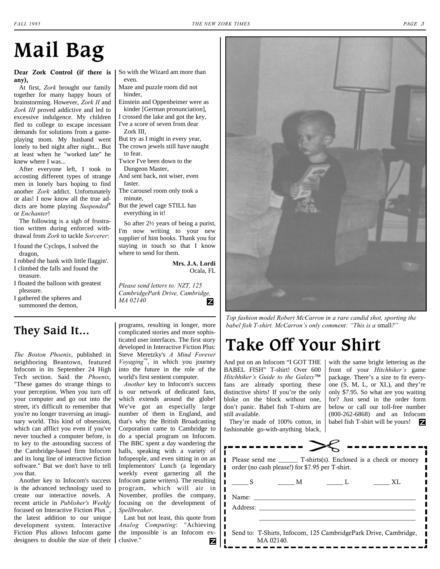## **Mail Bag**

### **Dear Zork Control (if there is any),**

At first, *Zork* brought our family together for many happy hours of brainstorming. However, *Zork II* and *Zork III* proved addictive and led to excessive indulgence. My children fled to college to escape incessant demands for solutions from a gameplaying mom. My husband went lonely to bed night after night... But at least when he "worked late" he knew where I was...

After everyone left, I took to accosting different types of strange men in lonely bars hoping to find another *Zork* addict. Unfortunately or alas! I now know all the true addicts are home playing *Suspended*® or *Enchanter*!

The following is a sigh of frustration written during enforced withdrawal from *Zork* to tackle *Sorcerer*:

- I found the Cyclops, I solved the dragon,
- I robbed the bank with little flaggin'.
- I climbed the falls and found the treasure.
- I floated the balloon with greatest pleasure.

I gathered the spheres and summoned the demon,

So with the Wizard am more than even.

- Maze and puzzle room did not hinder,
- Einstein and Oppenheimer were as kinder [German pronunciation],
- I crossed the lake and got the key, I've a score of seven from dear
- Zork III,
- But try as I might in every year, The crown jewels still have naught to fear.
- Twice I've been down to the Dungeon Master,
- And sent back, not wiser, even faster.
- The carousel room only took a minute,

But the jewel cage STILL has everything in it!

So after 2½ years of being a purist, I'm now writing to your new supplier of hint books. Thank you for staying in touch so that I know where to send for them.

> **Mrs. J.A. Lordi** Ocala, FL

*Please send letters to: NZT, 125 CambridgePark Drive, Cambridge, MA 02140* Ζ

### **They Said It...**

*The Boston Phoenix*, published in neighboring Beantown, featured Infocom in its September 24 High Tech section. Said the *Phoenix*, "These games do strange things to your perception. When you turn off your computer and go out into the street, it's difficult to remember that you're no longer traversing an imaginary world. This kind of obsession, which can afflict you even if you've never touched a computer before, is to key to the astounding success of the Cambridge-based firm Infocom and its long line of interactive fiction software." But we don't have to tell *you* that.

Another key to Infocom's success is the advanced technology used to create our interactive novels. A recent article in *Publisher's Weekly* focused on Interactive Fiction Plus™, the latest addition to our unique development system. Interactive Fiction Plus allows Infocom game designers to double the size of their

programs, resulting in longer, more complicated stories and more sophisticated user interfaces. The first story developed in Interactive Fiction Plus: Steve Meretzky's *A Mind Forever Voyaging*™, in which you journey into the future in the role of the world's first sentient computer.

*Another* key to Infocom's success is our network of dedicated fans, which extends around the globe! We've got an especially large number of them in England, and that's why the British Broadcasting Corporation came to Cambridge to do a special program on Infocom. The BBC spent a day wandering the halls, speaking with a variety of Infopeople, and even sitting in on an Implementors' Lunch (a legendary weekly event garnering all the Infocom game writers). The resulting program, which will air in November, profiles the company, focusing on the development of *Spellbreaker*.

Last but not least, this quote from *Analog Computing*: "Achieving the impossible is an Infocom exclusive." Ζ



*Top fashion model Robert McCarron in a rare candid shot, sporting the babel fish T-shirt. McCarron's only comment: "This is a* small*?"*

## **Take Off Your Shirt**

And put on an Infocom "I GOT THE BABEL FISH" T-shirt! Over 600 *Hitchhiker's Guide to the Galaxy*™ fans are already sporting these distinctive shirts! If you're the only bloke on the block without one, don't panic. Babel fish T-shirts are still available.

They're made of 100% cotton, in fashionable go-with-anything black,

 $\blacksquare$  $\blacksquare$  $\mathbf{I}$  $\blacksquare$ П

П

П

MA 02140.

with the same bright lettering as the front of your *Hitchhiker's* game package. There's a size to fit everyone (S, M, L, or XL), and they're only \$7.95. So what are you waiting for? Just send in the order form below or call our toll-free number (800-262-6868) and an Infocom babel fish T-shirt will be yours! 7

|              | order (no cash please!) for \$7.95 per T-shirt. |              | Please send me T-shirts(s). Enclosed is a check or money        |
|--------------|-------------------------------------------------|--------------|-----------------------------------------------------------------|
| $\mathbf{S}$ | $\mathbb{M}$                                    | $\mathbf{L}$ | XL                                                              |
|              |                                                 |              |                                                                 |
|              |                                                 |              |                                                                 |
|              |                                                 |              |                                                                 |
|              |                                                 |              | Send to: T-Shirts, Infocom, 125 CambridgePark Drive, Cambridge, |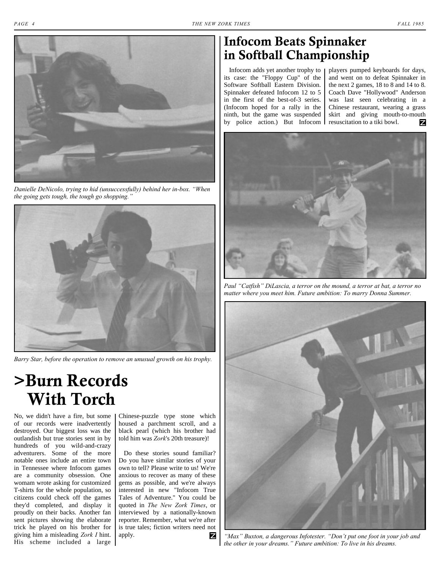

*Danielle DeNicolo, trying to hid (unsuccessfully) behind her in-box. "When the going gets tough, the tough go shopping."*



*Barry Star, before the operation to remove an unusual growth on his trophy.*

**>Burn Records With Torch**

No, we didn't have a fire, but some of our records were inadvertently destroyed. Our biggest loss was the outlandish but true stories sent in by hundreds of you wild-and-crazy adventurers. Some of the more notable ones include an entire town in Tennessee where Infocom games are a community obsession. One womam wrote asking for customized T-shirts for the whole population, so citizens could check off the games they'd completed, and display it proudly on their backs. Another fan sent pictures showing the elaborate trick he played on his brother for giving him a misleading *Zork I* hint. His scheme included a large

Chinese-puzzle type stone which housed a parchment scroll, and a black pearl (which his brother had told him was *Zork*'s 20th treasure)!

Do these stories sound familiar? Do you have similar stories of your own to tell? Please write to us! We're anxious to recover as many of these gems as possible, and we're always interested in new "Infocom True Tales of Adventure." You could be quoted in *The New Zork Times*, or interviewed by a nationally-known reporter. Remember, what we're after is true tales; fiction writers need not apply. Z

### **Infocom Beats Spinnaker in Softball Championship**

Infocom adds yet another trophy to its case: the "Floppy Cup" of the Software Softball Eastern Division. Spinnaker defeated Infocom 12 to 5 in the first of the best-of-3 series. (Infocom hoped for a rally in the ninth, but the game was suspended by police action.) But Infocom

players pumped keyboards for days, and went on to defeat Spinnaker in the next 2 games, 18 to 8 and 14 to 8. Coach Dave "Hollywood" Anderson was last seen celebrating in a Chinese restaurant, wearing a grass skirt and giving mouth-to-mouth resuscitation to a tiki bowl. z



*Paul "Catfish" DiLascia, a terror on the mound, a terror at bat, a terror no matter where you meet him. Future ambition: To marry Donna Summer.*



*"Max" Buxton, a dangerous Infotester. "Don't put one foot in your job and the other in your dreams." Future ambition: To live in his dreams.*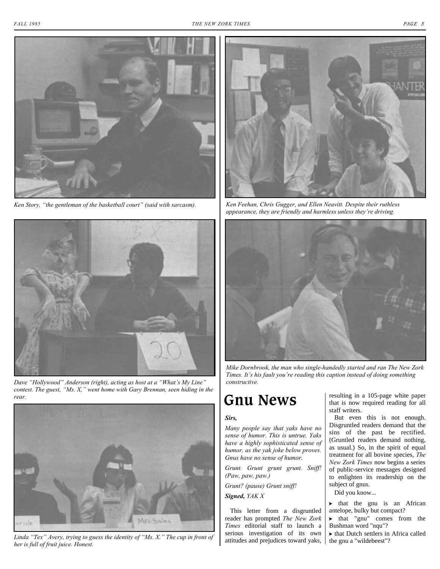

*Ken Story, "the gentleman of the basketball court" (said with sarcasm). Ken Feehan, Chris Gugger, and Ellen Neavitt. Despite their ruthless*



*Dave "Hollywood" Anderson (right), acting as host at a "What's My Line" constructive. contest. The guest, "Ms. X," went home with Gary Brennan, seen hiding in the rear.*



*Linda "Tex" Avery, trying to guess the identity of "Ms. X." The cup in front of her is full of fruit juice. Honest.*



*appearance, they are friendly and harmless unless they're driving.*



*Mike Dornbrook, the man who single-handedly started and ran The New Zork Times. It's his fault you're reading this caption instead of doing something* 

## **Gnu News**

### *Sirs,*

*Many people say that yaks have no sense of humor. This is untrue. Yaks have a highly sophisticated sense of humor, as the yak joke below proves. Gnus have no sense of humor.* 

*Grunt. Grunt grunt grunt. Sniff! (Paw, paw, paw.)* 

*Grunt? (pause) Grunt sniff!* 

*Signed, YAK X*

This letter from a disgruntled reader has prompted *The New Zork Times* editorial staff to launch a serious investigation of its own attitudes and prejudices toward yaks, the gnu a "wildebeest"?

resulting in a 105-page white paper that is now required reading for all staff writers.

But even this is not enough. Disgruntled readers demand that the sins of the past be rectified. (Gruntled readers demand nothing, as usual.) So, in the spirit of equal treatment for all bovine species, *The New Zork Times* now begins a series of public-service messages designed to enlighten its readership on the subject of gnus.

Did you know...

? that the gnu is an African antelope, bulky but compact?

? that "gnu" comes from the Bushman word "nqu"?

 $\blacktriangleright$  that Dutch settlers in Africa called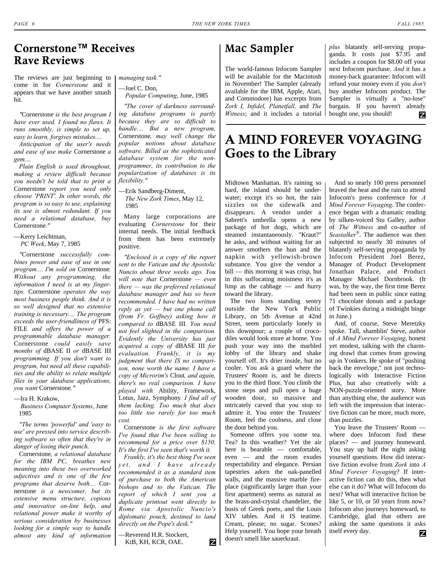### **Cornerstone™ Receives Rave Reviews**

The reviews are just beginning to come in for *Cornerstone* and it appears that we have another smash hit.

*"*Cornerstone *is the best program I have ever used. I found no flaws. It runs smoothly, is simple to set up, easy to learn, forgives mistakes....* 

*Anticipation of the user's needs and ease of use make* Cornerstone *a gem....* 

*Plain English is used throughout, making a review difficult because you needn't be told that to print a* Cornerstone *report you need only choose 'PRINT'. In other words, the program is so easy to use, explaining its use is almost redundant. If you need a relational database, buy* Cornerstone*."* 

—Kerry Leichtman,  *PC Week*, May 7, 1985

*"*Cornerstone *successfully com-*

*bines power and ease of use in one program.... I'm sold on* Cornerstone*. Without any programming, the information I need is at my fingertips.* Cornerstone *operates the way most business people think. And it is so well designed that no extensive training is necessary.... The program exceeds the user-friendliness of* PFS: FILE *and offers the power of a programmable database manager.* Cornerstone *could easily save months of* dBASE II *or* dBASE III *programming. If you don't want to program, but need all these capabilities and the ability to relate multiple files in your database applications, you want* Cornerstone*."* 

—Ira H. Krakow,

 *Business Computer Systems*, June 1985

*"The terms 'powerful' and 'easy to use' are pressed into service describing software so often that they're in danger of losing their punch.* 

Cornerstone*, a relational database for the IBM PC, breathes new meaning into these two overworked adjectives and is one of the few programs that deserve both....* Cornerstone *is a newcomer, but its extensive menu structure, copious and innovative on-line help, and relational power make it worthy of serious consideration by businesses looking for a simple way to handle almost any kind of information*

*managing task."* 

—Joel C. Don,  *Popular Computing*, June, 1985

*"The cover of darkness surrounding database programs is partly because they are so difficult to handle.... But a new program,* Cornerstone*, may well change the popular notions about database software. Billed as the sophisticated database system for the nonprogrammer, its contribution to the popularization of databases is its flexibility."* 

—Erik Sandberg-Diment, *The New Zork Times*, May 12, 1985

Many large corporations are evaluating *Cornerstone* for their internal needs. The initial feedback from them has been extremely positive.

*"Enclosed is a copy of the report sent to the Vatican and the Apostolic Nuncio about three weeks ago. You will note that* Cornerstone *— even there — was the preferred relational database manager and has so been recommended. I have had no written reply as yet — but one phone call (from Fr. Goffney) asking how it compared to* dBASE III*. You need not feel slighted in the comparison. Evidently the University has just acquired a copy of* dBASE III *for evaluation. Frankly, it is my judgment that there IS no comparison, none worth the name. I have a copy of Microrim's* Clout*, and again, there's no real comparison. I have played with* Ability, Framework, Lotus, Jazz, Symphony*. I find all of them lacking. Too much that does too little too rarely for too much cost.* 

Cornerstone *is the first software I've found that I've been willing to recommend for a price over \$150. It's the first I've seen that's worth it.* 

*Frankly, it's the best thing I've seen yet, and I have already recommended it as a standard item of purchase to both the American bishops and to the Vatican. The report of which I sent you a duplicate printout went directly to Rome via Apostolic Nuncio's diplomatic pouch, destined to land directly on the Pope's desk."* 

—Reverend H.R. Stockert, KtB, KH, KCR, OAE.

Ζ

**Mac Sampler**

The world-famous Infocom Sampler will be available for the Macintosh in November! The Sampler (already available for the IBM, Apple, Atari, and Commodore) has excerpts from *Zork I, Infidel, Planetfall,* and *The Witness*; and it includes a tutorial *plus* blatantly self-serving propaganda. It costs just \$7.95 and includes a coupon for \$8.00 off your next Infocom purchase. *And* it has a money-back guarantee: Infocom will refund your money even if you *don't* buy another Infocom product. The Sampler is virtually a "no-lose" bargain. If you haven't already bought one, you should! Ζ

### **A MIND FOREVER VOYAGING Goes to the Library**

Midtown Manhattan. It's raining so hard, the island should be underwater; except it's so hot, the rain sizzles on the sidewalk and disappears. A vendor under a Sabrett's umbrella opens a new package of hot dogs, which are steamed instantaneously. "Kraut?" he asks, and without waiting for an answer smothers the bun and the napkin with yellowish-brown substance. You give the vendor a bill — this morning it was crisp, but in this suffocating moistness it's as limp as the cabbage — and hurry toward the library.

The two lions standing sentry outside the New York Public Library, on 5th Avenue at 42nd Street, seem particularly lonely in this downpour; a couple of crocodiles would look more at home. You push your way into the marbled lobby of the library and shake yourself off. It's drier inside, but no cooler. You ask a guard where the Trustees' Room is, and he directs you to the third floor. You climb the stone steps and pull open a huge wooden door, so massive and intricately carved that you stop to admire it. You enter the Trustees' Room, feel the coolness, and close the door behind you.

Someone offers you some tea. Tea? In this weather? Yet the air here is bearable — comfortable, even — and the room exudes respectability and elegance. Persian tapestries adorn the oak-panelled walls, and the massive marble fireplace (significantly larger than your first apartment) seems as natural as the brass-and-crystal chandelier, the busts of Greek poets, and the Louis XIV tables. And it IS teatime. Cream, please; no sugar. Scones? Help yourself. You hope your breath doesn't smell like sauerkraut.

And so nearly 100 press personnel braved the heat and the rain to attend Infocom's press conference for *A Mind Forever Voyaging*. The conference began with a dramatic reading by silken-voiced Stu Galley, author of *The Witness* and co-author of *Seastalker*® . The audience was then subjected to nearly 30 minutes of blatantly self-serving propaganda by Infocom President Joel Berez, Manager of Product Development Jonathan Palace, and Product Manager Michael Dornbrook. (It was, by the way, the first time Berez had been seen in public since eating 71 chocolate donuts and a package of Twinkies during a midnight binge in June.)

And, of course, Steve Meretzky spoke. Tall, shamblin' Steve, author of *A Mind Forever Voyaging*, honest yet modest, talking with the charming drawl that comes from growing up in Yonkers. He spoke of "pushing back the envelope," not just technologically with Interactive Fiction Plus, but also creatively with a NON-puzzle-oriented story. More than anything else, the audience was left with the impression that interactive fiction can be more, much more, than puzzles.

You leave the Trustees' Room where does Infocom find these places? — and journey homeward. You stay up half the night asking yourself questions. How did interactive fiction evolve from *Zork* into *A Mind Forever Voyaging*? If interactive fiction can do this, then what else can it do? What will Infocom do next? What will interactive fiction be like 5, or 10, or 50 years from now? Infocom also journeys homeward, to Cambridge, glad that others are asking the same questions it asks itself every day. Z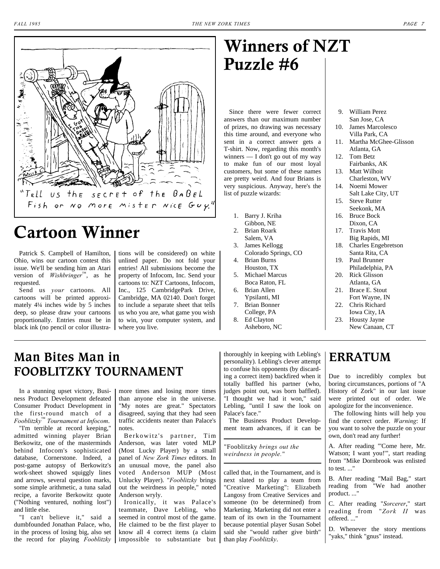

## **Cartoon Winner**

Patrick S. Campbell of Hamilton, Ohio, wins our cartoon contest this issue. We'll be sending him an Atari version of *Wishbringer*™, as he requested.

Send us *your* cartoons. All cartoons will be printed approximately 4¼ inches wide by 5 inches deep, so please draw your cartoons proportionally. Entries must be in black ink (no pencil or color illustra- where you live.

tions will be considered) on white unlined paper. Do not fold your entries! All submissions become the property of Infocom, Inc. Send your cartoons to: NZT Cartoons, Infocom, Inc., 125 CambridgePark Drive, Cambridge, MA 02140. Don't forget to include a separate sheet that tells us who you are, what game you wish to win, your computer system, and

## <span id="page-6-0"></span>**Winners of NZT Puzzle #6**

Since there were fewer correct answers than our maximum number of prizes, no drawing was necessary this time around, and everyone who sent in a correct answer gets a T-shirt. Now, regarding this month's winners — I don't go out of my way to make fun of our most loyal customers, but some of these names are pretty weird. And four Brians is very suspicious. Anyway, here's the list of puzzle wizards:

- 1. Barry J. Kriha
- Gibbon, NE 2. Brian Roark
- Salem, VA
- 3. James Kellogg Colorado Springs, CO
- 4. Brian Burns Houston, TX
- 5. Michael Marcus Boca Raton, FL
- 6. Brian Allen Ypsilanti, MI
- 7. Brian Bonner College, PA
- 8. Ed Clayton Asheboro, NC
- 9. William Perez San Jose, CA
- 10. James Marcolesco Villa Park, CA
- 11. Martha McGhee-Glisson Atlanta, GA
- 12. Tom Betz Fairbanks, AK
- 13. Matt Wilhoit Charleston, WV
- 14. Noemi Mower Salt Lake City, UT
- 15. Steve Rutter
- Seekonk, MA 16. Bruce Bock Dixon, CA
- 17. Travis Mott Big Rapids, MI
- 18. Charles Engebretson Santa Rita, CA
- 19. Paul Brunner Philadelphia, PA
- 20. Rick Glisson Atlanta, GA
- 21. Brace E. Stout Fort Wayne, IN
- 22. Chris Richard Iowa City, IA
- 23. Housty Jayne New Canaan, CT

### **Man Bites Man in FOOBLITZKY TOURNAMENT**

In a stunning upset victory, Business Product Development defeated Consumer Product Development in the first-round match of a *Fooblitzky*™ *Tournament at Infocom*.

"I'm terrible at record keeping," admitted winning player Brian Berkowitz, one of the masterminds behind Infocom's sophisticated database, Cornerstone. Indeed, a post-game autopsy of Berkowitz's work-sheet showed squiggly lines and arrows, several question marks, some simple arithmetic, a tuna salad recipe, a favorite Berkowitz quote ("Nothing ventured, nothing lost") and little else.

"I can't believe it," said a dumbfounded Jonathan Palace, who, in the process of losing big, also set the record for playing *Fooblitzky* more times and losing more times than anyone else in the universe. "My notes are great." Spectators disagreed, saying that they had seen traffic accidents neater than Palace's notes.

Berkowitz's partner, Tim Anderson, was later voted MLP (Most Lucky Player) by a small panel of *New Zork Times* editors. In an unusual move, the panel also voted Anderson MUP (Most Unlucky Player). "*Fooblitzky* brings out the weirdness in people," noted Anderson wryly.

Ironically, it was Palace's teammate, Dave Lebling, who seemed in control most of the game. He claimed to be the first player to know all 4 correct items (a claim impossible to substantiate but than play *Fooblitzky*.

thoroughly in keeping with Lebling's personality). Lebling's clever attempt to confuse his opponents (by discarding a correct item) backfired when it totally baffled his partner (who, judges point out, was born baffled). "I thought we had it won," said Lebling, "until I saw the look on Palace's face."

The Business Product Development team advances, if it can be

"Fooblitzky *brings out the weirdness in people.*"

called that, in the Tournament, and is next slated to play a team from "Creative Marketing": Elizabeth Langosy from Creative Services and someone (to be determined) from Marketing. Marketing did not enter a team of its own in the Tournament because potential player Susan Sobel said she "would rather give birth"

### **ERRATUM**

Due to incredibly complex but boring circumstances, portions of "A History of Zork" in our last issue were printed out of order. We apologize for the inconvenience.

The following hints will help you find the correct order. *Warning*: If you want to solve the puzzle on your own, don't read any further!

A. After reading "'Come here, Mr. Watson; I want you!'", start reading from "Mike Dornbrook was enlisted to test. ..."

B. After reading "Mail Bag," start reading from "We had another product. ..."

C. After reading "*Sorcerer*," start reading from "*Zork II* was offered. ..."

D. Whenever the story mentions "yaks," think "gnus" instead.